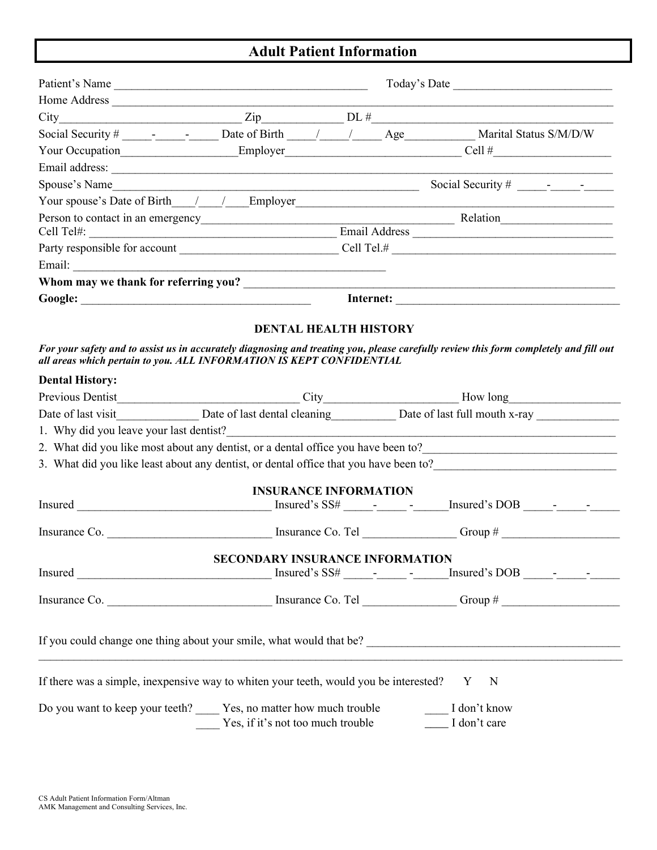## **Adult Patient Information**

|                        | Patient's Name                                                                        |  | Today's Date                                                                                                                          |  |  |  |  |  |
|------------------------|---------------------------------------------------------------------------------------|--|---------------------------------------------------------------------------------------------------------------------------------------|--|--|--|--|--|
|                        | Home Address                                                                          |  |                                                                                                                                       |  |  |  |  |  |
|                        |                                                                                       |  | $City$ $Zip$ $DL \#$                                                                                                                  |  |  |  |  |  |
|                        |                                                                                       |  | Social Security # ______________________ Date of Birth ______/ ________ Age _____________ Marital Status S/M/D/W                      |  |  |  |  |  |
|                        |                                                                                       |  | Your Occupation_________________________Employer________________________________Cell #________________________                        |  |  |  |  |  |
|                        |                                                                                       |  |                                                                                                                                       |  |  |  |  |  |
|                        | Spouse's Name                                                                         |  |                                                                                                                                       |  |  |  |  |  |
|                        |                                                                                       |  | Your spouse's Date of Birth $\frac{1}{\sqrt{2}}$ Employer                                                                             |  |  |  |  |  |
|                        |                                                                                       |  |                                                                                                                                       |  |  |  |  |  |
|                        |                                                                                       |  |                                                                                                                                       |  |  |  |  |  |
|                        |                                                                                       |  |                                                                                                                                       |  |  |  |  |  |
|                        |                                                                                       |  |                                                                                                                                       |  |  |  |  |  |
|                        |                                                                                       |  | Whom may we thank for referring you?                                                                                                  |  |  |  |  |  |
|                        |                                                                                       |  |                                                                                                                                       |  |  |  |  |  |
|                        | <b>DENTAL HEALTH HISTORY</b>                                                          |  | For your safety and to assist us in accurately diagnosing and treating you, please carefully review this form completely and fill out |  |  |  |  |  |
|                        | all areas which pertain to you. ALL INFORMATION IS KEPT CONFIDENTIAL                  |  |                                                                                                                                       |  |  |  |  |  |
| <b>Dental History:</b> |                                                                                       |  |                                                                                                                                       |  |  |  |  |  |
|                        |                                                                                       |  |                                                                                                                                       |  |  |  |  |  |
|                        |                                                                                       |  |                                                                                                                                       |  |  |  |  |  |
|                        | 1. Why did you leave your last dentist?                                               |  |                                                                                                                                       |  |  |  |  |  |
|                        |                                                                                       |  |                                                                                                                                       |  |  |  |  |  |
|                        |                                                                                       |  |                                                                                                                                       |  |  |  |  |  |
|                        | <b>INSURANCE INFORMATION</b>                                                          |  |                                                                                                                                       |  |  |  |  |  |
|                        |                                                                                       |  |                                                                                                                                       |  |  |  |  |  |
|                        |                                                                                       |  |                                                                                                                                       |  |  |  |  |  |
|                        |                                                                                       |  |                                                                                                                                       |  |  |  |  |  |
|                        | <b>SECONDARY INSURANCE INFORMATION</b>                                                |  |                                                                                                                                       |  |  |  |  |  |
|                        |                                                                                       |  |                                                                                                                                       |  |  |  |  |  |
|                        |                                                                                       |  |                                                                                                                                       |  |  |  |  |  |
|                        |                                                                                       |  |                                                                                                                                       |  |  |  |  |  |
|                        |                                                                                       |  | If you could change one thing about your smile, what would that be?                                                                   |  |  |  |  |  |
|                        | If there was a simple, inexpensive way to whiten your teeth, would you be interested? |  | N<br>Y                                                                                                                                |  |  |  |  |  |
|                        | Do you want to keep your teeth? Yes, no matter how much trouble                       |  | I don't know                                                                                                                          |  |  |  |  |  |
|                        | Yes, if it's not too much trouble                                                     |  | __ I don't care                                                                                                                       |  |  |  |  |  |